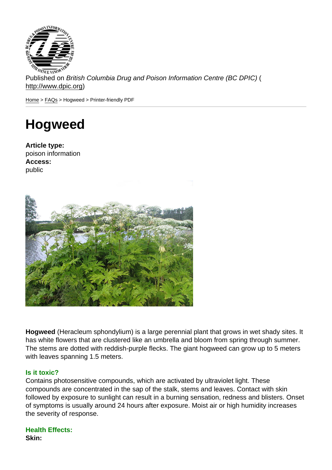Published on British Columbia Drug and Poison Information Centre (BC DPIC) ( http://www.dpic.org)

Home > FAQs > Hogweed > Printer-friendly PDF

## [Ho](http://www.dpic.org/)[gw](http://www.dpic.org/faq)eed

Article type: poison information Access: public

Hogweed (Heracleum sphondylium) is a large perennial plant that grows in wet shady sites. It has white flowers that are clustered like an umbrella and bloom from spring through summer. The stems are dotted with reddish-purple flecks. The giant hogweed can grow up to 5 meters with leaves spanning 1.5 meters.

## Is it toxic?

Contains photosensitive compounds, which are activated by ultraviolet light. These compounds are concentrated in the sap of the stalk, stems and leaves. Contact with skin followed by exposure to sunlight can result in a burning sensation, redness and blisters. Onset of symptoms is usually around 24 hours after exposure. Moist air or high humidity increases the severity of response.

## Health Effects: Skin: